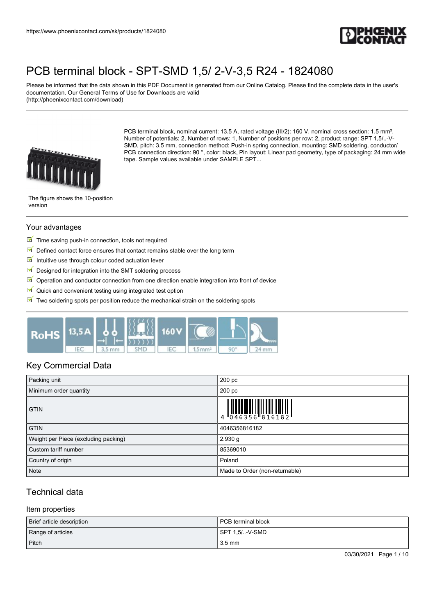

Please be informed that the data shown in this PDF Document is generated from our Online Catalog. Please find the complete data in the user's documentation. Our General Terms of Use for Downloads are valid (http://phoenixcontact.com/download)



PCB terminal block, nominal current: 13.5 A, rated voltage (III/2): 160 V, nominal cross section: 1.5 mm<sup>2</sup>, Number of potentials: 2, Number of rows: 1, Number of positions per row: 2, product range: SPT 1,5/..-V-SMD, pitch: 3.5 mm, connection method: Push-in spring connection, mounting: SMD soldering, conductor/ PCB connection direction: 90 °, color: black, Pin layout: Linear pad geometry, type of packaging: 24 mm wide tape. Sample values available under SAMPLE SPT...

The figure shows the 10-position version

#### Your advantages

- $\blacksquare$  Time saving push-in connection, tools not required
- $\boxed{\blacksquare}$  Defined contact force ensures that contact remains stable over the long term
- Intuitive use through colour coded actuation lever
- $\sqrt{}$ Designed for integration into the SMT soldering process
- $\mathbb N$  Operation and conductor connection from one direction enable integration into front of device
- $\blacksquare$  Quick and convenient testing using integrated test option
- $\boxed{\blacksquare}$  Two soldering spots per position reduce the mechanical strain on the soldering spots



# Key Commercial Data

| Packing unit                         | 200 pc                                                                                                                                                                                                                                                                                                                    |
|--------------------------------------|---------------------------------------------------------------------------------------------------------------------------------------------------------------------------------------------------------------------------------------------------------------------------------------------------------------------------|
| Minimum order quantity               | 200 pc                                                                                                                                                                                                                                                                                                                    |
| <b>GTIN</b>                          | $\begin{array}{c} 1 & 0 & 0 & 0 \\ 0 & 4 & 6 & 3 & 5 & 6 \\ 0 & 4 & 6 & 3 & 5 & 6 \\ 0 & 0 & 0 & 0 & 0 & 0 \\ 0 & 0 & 0 & 0 & 0 & 0 \\ 0 & 0 & 0 & 0 & 0 & 0 \\ 0 & 0 & 0 & 0 & 0 & 0 \\ 0 & 0 & 0 & 0 & 0 & 0 \\ 0 & 0 & 0 & 0 & 0 & 0 & 0 \\ 0 & 0 & 0 & 0 & 0 & 0 & 0 \\ 0 & 0 & 0 & 0 & 0 & 0 & 0 \\ 0 & 0 & 0 & 0 &$ |
| <b>GTIN</b>                          | 4046356816182                                                                                                                                                                                                                                                                                                             |
| Weight per Piece (excluding packing) | 2.930 g                                                                                                                                                                                                                                                                                                                   |
| Custom tariff number                 | 85369010                                                                                                                                                                                                                                                                                                                  |
| Country of origin                    | Poland                                                                                                                                                                                                                                                                                                                    |
| Note                                 | Made to Order (non-returnable)                                                                                                                                                                                                                                                                                            |

# Technical data

#### Item properties

| Brief article description | l PCB terminal block |
|---------------------------|----------------------|
| Range of articles         | SPT 1.5/-V-SMD       |
| Pitch                     | $3.5 \text{ mm}$     |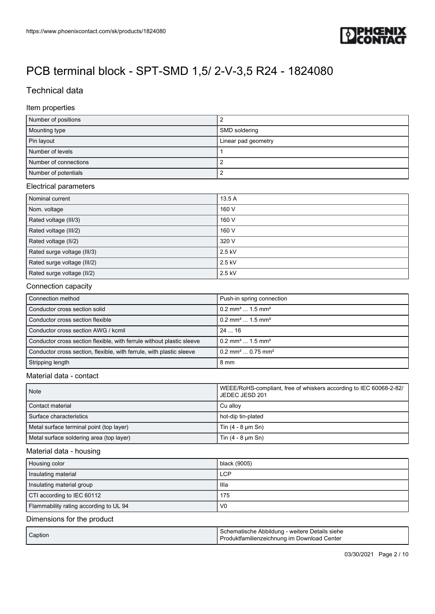

# Technical data

#### Item properties

| Number of positions   |                     |
|-----------------------|---------------------|
| Mounting type         | SMD soldering       |
| Pin layout            | Linear pad geometry |
| Number of levels      |                     |
| Number of connections |                     |
| Number of potentials  |                     |

#### Electrical parameters

| Nominal current             | 13.5 A   |
|-----------------------------|----------|
| Nom. voltage                | 160 V    |
| Rated voltage (III/3)       | 160 V    |
| Rated voltage (III/2)       | 160 V    |
| Rated voltage (II/2)        | 320 V    |
| Rated surge voltage (III/3) | $2.5$ kV |
| Rated surge voltage (III/2) | $2.5$ kV |
| Rated surge voltage (II/2)  | $2.5$ kV |

### Connection capacity

| Connection method                                                     | Push-in spring connection                  |
|-----------------------------------------------------------------------|--------------------------------------------|
| Conductor cross section solid                                         | $0.2$ mm <sup>2</sup> 1.5 mm <sup>2</sup>  |
| Conductor cross section flexible                                      | $0.2$ mm <sup>2</sup> 1.5 mm <sup>2</sup>  |
| Conductor cross section AWG / kcmil                                   | 2416                                       |
| Conductor cross section flexible, with ferrule without plastic sleeve | $0.2$ mm <sup>2</sup> 1.5 mm <sup>2</sup>  |
| Conductor cross section, flexible, with ferrule, with plastic sleeve  | $0.2$ mm <sup>2</sup> 0.75 mm <sup>2</sup> |
| Stripping length                                                      | 8 mm                                       |

#### Material data - contact

| <b>Note</b>                              | WEEE/RoHS-compliant, free of whiskers according to IEC 60068-2-82/<br>JEDEC JESD 201 |
|------------------------------------------|--------------------------------------------------------------------------------------|
| Contact material                         | Cu allov                                                                             |
| Surface characteristics                  | hot-dip tin-plated                                                                   |
| Metal surface terminal point (top layer) | Tin $(4 - 8 \mu m \sin)$                                                             |
| Metal surface soldering area (top layer) | Tin $(4 - 8 \mu m \sin)$                                                             |

#### Material data - housing

| Housing color                          | black (9005)   |
|----------------------------------------|----------------|
| Insulating material                    | <b>LCP</b>     |
| Insulating material group              | llla           |
| CTI according to IEC 60112             | 175            |
| Flammability rating according to UL 94 | V <sub>0</sub> |

### Dimensions for the product

| Caption | Schematische Abbildung - weitere Details siehe<br>Produktfamilienzeichnung im Download Center |
|---------|-----------------------------------------------------------------------------------------------|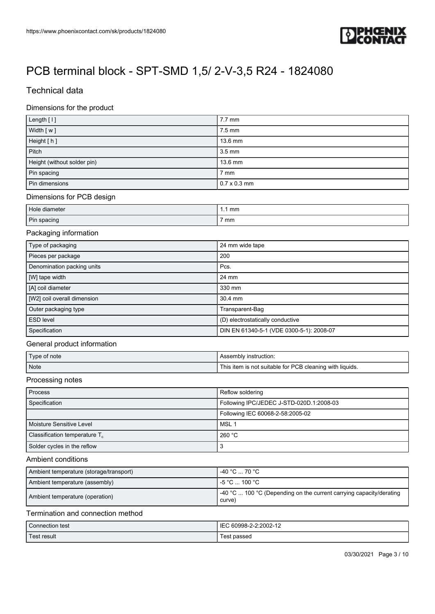

# Technical data

### Dimensions for the product

| Length [1]                  | $7.7 \text{ mm}$    |
|-----------------------------|---------------------|
| Width [w]                   | $7.5 \text{ mm}$    |
| Height [h]                  | 13.6 mm             |
| Pitch                       | $3.5 \text{ mm}$    |
| Height (without solder pin) | 13.6 mm             |
| Pin spacing                 | $7 \text{ mm}$      |
| Pin dimensions              | $0.7 \times 0.3$ mm |

### Dimensions for PCB design

| Hole diameter | mm |
|---------------|----|
| Pin spacing   | mm |

#### Packaging information

| Type of packaging           | 24 mm wide tape                          |
|-----------------------------|------------------------------------------|
| Pieces per package          | 200                                      |
| Denomination packing units  | Pcs.                                     |
| [W] tape width              | 24 mm                                    |
| [A] coil diameter           | 330 mm                                   |
| [W2] coil overall dimension | $30.4$ mm                                |
| Outer packaging type        | Transparent-Bag                          |
| <b>ESD level</b>            | (D) electrostatically conductive         |
| Specification               | DIN EN 61340-5-1 (VDE 0300-5-1): 2008-07 |

### General product information

| Type of note     | Assembly instruction:                                    |
|------------------|----------------------------------------------------------|
| Note <sup></sup> | This item is not suitable for PCB cleaning with liquids. |

#### Processing notes

| Process                          | Reflow soldering                         |
|----------------------------------|------------------------------------------|
| Specification                    | Following IPC/JEDEC J-STD-020D.1:2008-03 |
|                                  | Following IEC 60068-2-58:2005-02         |
| Moisture Sensitive Level         | l MSL 1                                  |
| Classification temperature $T_c$ | 260 °C                                   |
| Solder cycles in the reflow      |                                          |

## Ambient conditions

| Ambient temperature (storage/transport) | -40 °C  70 °C                                                                         |
|-----------------------------------------|---------------------------------------------------------------------------------------|
| Ambient temperature (assembly)          | l -5 °C  100 °C .                                                                     |
| Ambient temperature (operation)         | $\vert$ -40 °C  100 °C (Depending on the current carrying capacity/derating<br>curve) |

### Termination and connection method

| $\sim$<br>Connection test | IE <sup></sup><br>60998-2-2<br>$2.2002 - 12$ |
|---------------------------|----------------------------------------------|
|                           | est                                          |
| Γest result               | passed                                       |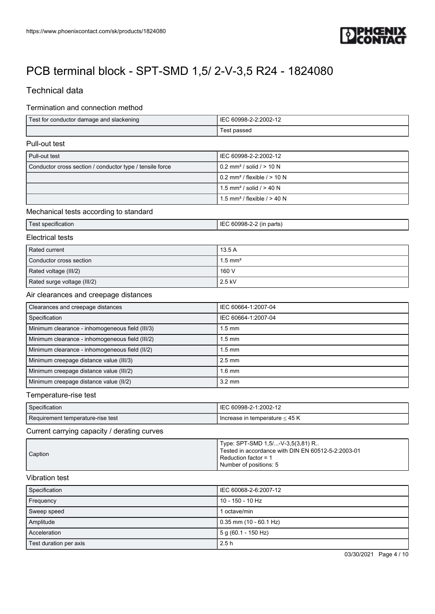

# Technical data

### Termination and connection method

| Test for conductor damage and slackening | 60998-2-2:2002-12<br>IEC |
|------------------------------------------|--------------------------|
|                                          | l est passed             |

### Pull-out test

| Pull-out test                                            | IEC 60998-2-2:2002-12                        |
|----------------------------------------------------------|----------------------------------------------|
| Conductor cross section / conductor type / tensile force | $10.2$ mm <sup>2</sup> / solid / > 10 N      |
|                                                          | $10.2$ mm <sup>2</sup> / flexible $/$ > 10 N |
|                                                          | 1.5 mm <sup>2</sup> / solid / $> 40$ N       |
|                                                          | $1.5$ mm <sup>2</sup> / flexible / > 40 N    |

## Mechanical tests according to standard

| <b>Lest specification</b> | י ובכ<br>$\cdot$ cooperations and $\cdot$<br>$\sim$<br>. .<br>oarts)<br>(in<br>60998-2-2 |
|---------------------------|------------------------------------------------------------------------------------------|
|---------------------------|------------------------------------------------------------------------------------------|

### Electrical tests

| Rated current               | 13.5 A                |
|-----------------------------|-----------------------|
| Conductor cross section     | $1.5$ mm <sup>2</sup> |
| Rated voltage (III/2)       | 160 V                 |
| Rated surge voltage (III/2) | $2.5$ kV              |

### Air clearances and creepage distances

| Clearances and creepage distances               | IEC 60664-1:2007-04 |
|-------------------------------------------------|---------------------|
| Specification                                   | IEC 60664-1:2007-04 |
| Minimum clearance - inhomogeneous field (III/3) | $1.5 \text{ mm}$    |
| Minimum clearance - inhomogeneous field (III/2) | $1.5 \text{ mm}$    |
| Minimum clearance - inhomogeneous field (II/2)  | $1.5 \text{ mm}$    |
| Minimum creepage distance value (III/3)         | $2.5 \text{ mm}$    |
| Minimum creepage distance value (III/2)         | $1.6$ mm            |
| Minimum creepage distance value (II/2)          | $3.2 \text{ mm}$    |

#### Temperature-rise test

| Specification                     | IEC 60998-2-1:2002-12                 |
|-----------------------------------|---------------------------------------|
| Requirement temperature-rise test | I Increase in temperature $\leq 45$ K |

## Current carrying capacity / derating curves

| Tested in accordance with DIN EN 60512-5-2:2003-01<br><b>Caption</b><br>l Reduction factor = 1<br>I Number of positions: 5 |  | Type: SPT-SMD 1,5/-V-3,5(3,81) R |
|----------------------------------------------------------------------------------------------------------------------------|--|----------------------------------|
|----------------------------------------------------------------------------------------------------------------------------|--|----------------------------------|

## Vibration test

| Specification          | LIEC 60068-2-6:2007-12 |
|------------------------|------------------------|
| Frequency              | 10 - 150 - 10 Hz       |
| Sweep speed            | octave/min             |
| Amplitude              | 0.35 mm (10 - 60.1 Hz) |
| Acceleration           | 5 g (60.1 - 150 Hz)    |
| Test duration per axis | 2.5h                   |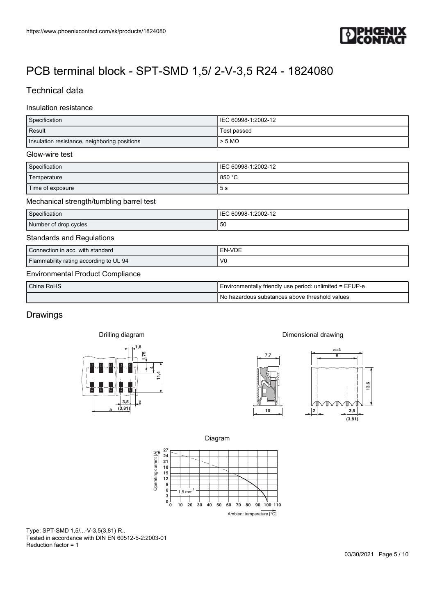

# Technical data

# Insulation resistance

| https://www.phoenixcontact.com/sk/products/1824080                                           |                                                                                                                                                                                                                                                                                                                                                               |
|----------------------------------------------------------------------------------------------|---------------------------------------------------------------------------------------------------------------------------------------------------------------------------------------------------------------------------------------------------------------------------------------------------------------------------------------------------------------|
|                                                                                              |                                                                                                                                                                                                                                                                                                                                                               |
|                                                                                              |                                                                                                                                                                                                                                                                                                                                                               |
| PCB terminal block - SPT-SMD 1,5/2-V-3,5 R24 - 1824080                                       |                                                                                                                                                                                                                                                                                                                                                               |
| <b>Technical data</b>                                                                        |                                                                                                                                                                                                                                                                                                                                                               |
| Insulation resistance                                                                        |                                                                                                                                                                                                                                                                                                                                                               |
| Specification                                                                                | IEC 60998-1:2002-12                                                                                                                                                                                                                                                                                                                                           |
| Result                                                                                       | Test passed                                                                                                                                                                                                                                                                                                                                                   |
| Insulation resistance, neighboring positions                                                 | $> 5$ M $\Omega$                                                                                                                                                                                                                                                                                                                                              |
| Glow-wire test                                                                               |                                                                                                                                                                                                                                                                                                                                                               |
| Specification                                                                                | IEC 60998-1:2002-12                                                                                                                                                                                                                                                                                                                                           |
| Temperature<br>Time of exposure                                                              | 850 °C<br>$5\;{\rm s}$                                                                                                                                                                                                                                                                                                                                        |
| Mechanical strength/tumbling barrel test                                                     |                                                                                                                                                                                                                                                                                                                                                               |
| Specification                                                                                | IEC 60998-1:2002-12                                                                                                                                                                                                                                                                                                                                           |
| Number of drop cycles                                                                        | 50                                                                                                                                                                                                                                                                                                                                                            |
| <b>Standards and Regulations</b>                                                             |                                                                                                                                                                                                                                                                                                                                                               |
| Connection in acc. with standard                                                             | EN-VDE                                                                                                                                                                                                                                                                                                                                                        |
| Flammability rating according to UL 94                                                       | ${\sf V0}$                                                                                                                                                                                                                                                                                                                                                    |
| <b>Environmental Product Compliance</b>                                                      |                                                                                                                                                                                                                                                                                                                                                               |
| China RoHS                                                                                   | Environmentally friendly use period: unlimited = EFUP-e<br>No hazardous substances above threshold values                                                                                                                                                                                                                                                     |
|                                                                                              |                                                                                                                                                                                                                                                                                                                                                               |
| Drawings                                                                                     |                                                                                                                                                                                                                                                                                                                                                               |
| Drilling diagram                                                                             | Dimensional drawing                                                                                                                                                                                                                                                                                                                                           |
|                                                                                              | $a+4$                                                                                                                                                                                                                                                                                                                                                         |
| 1,6                                                                                          |                                                                                                                                                                                                                                                                                                                                                               |
|                                                                                              | 7,7<br>a                                                                                                                                                                                                                                                                                                                                                      |
|                                                                                              |                                                                                                                                                                                                                                                                                                                                                               |
| ┸                                                                                            | 13,6                                                                                                                                                                                                                                                                                                                                                          |
| 3,5                                                                                          |                                                                                                                                                                                                                                                                                                                                                               |
| (3, 81)                                                                                      | $\begin{picture}(120,10) \put(0,0){\line(1,0){10}} \put(15,0){\line(1,0){10}} \put(15,0){\line(1,0){10}} \put(15,0){\line(1,0){10}} \put(15,0){\line(1,0){10}} \put(15,0){\line(1,0){10}} \put(15,0){\line(1,0){10}} \put(15,0){\line(1,0){10}} \put(15,0){\line(1,0){10}} \put(15,0){\line(1,0){10}} \put(15,0){\line(1,0){10}} \put(15,0){\line($<br>$10\,$ |
|                                                                                              | $\frac{3,5}{(3,81)}$                                                                                                                                                                                                                                                                                                                                          |
|                                                                                              | Diagram                                                                                                                                                                                                                                                                                                                                                       |
|                                                                                              |                                                                                                                                                                                                                                                                                                                                                               |
| 27<br>24<br>21<br>18<br>$15\,$                                                               |                                                                                                                                                                                                                                                                                                                                                               |
| $\bf 12$                                                                                     |                                                                                                                                                                                                                                                                                                                                                               |
| Operating current [A]<br>$\begin{array}{c} 9 \\ 6 \\ 3 \end{array}$<br>$1,5$ mm <sup>2</sup> |                                                                                                                                                                                                                                                                                                                                                               |
| $\mathbf{0}$ $_\mathbf{0}^\mathsf{L}$<br>$10 \quad 20$                                       | 40<br>50<br>60<br>70<br>80 90 100 110<br>30<br>Ambient temperature [°C]                                                                                                                                                                                                                                                                                       |

| China RoHS | Environmentally friendly use period: unlimited = EFUP-e |  |
|------------|---------------------------------------------------------|--|
|            | I No hazardous substances above threshold values        |  |

# **Drawings**

Drilling diagram











Type: SPT-SMD 1,5/...-V-3,5(3,81) R.. Tested in accordance with DIN EN 60512-5-2:2003-01 Reduction factor = 1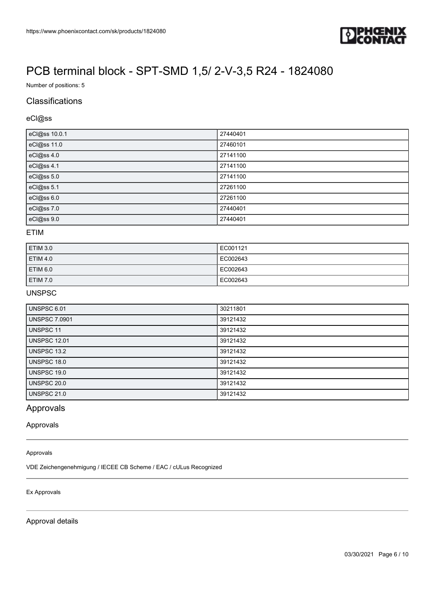

Number of positions: 5

# **Classifications**

#### eCl@ss

| eCl@ss 10.0.1 | 27440401 |
|---------------|----------|
| eCl@ss 11.0   | 27460101 |
| eCl@ss 4.0    | 27141100 |
| eCl@ss 4.1    | 27141100 |
| eCl@ss 5.0    | 27141100 |
| eCl@ss 5.1    | 27261100 |
| eCl@ss 6.0    | 27261100 |
| eCl@ss 7.0    | 27440401 |
| eCl@ss 9.0    | 27440401 |

### ETIM

| <b>ETIM 3.0</b>     | EC001121 |
|---------------------|----------|
| ETIM 4.0            | EC002643 |
| ETIM <sub>6.0</sub> | EC002643 |
| ETIM 7.0            | EC002643 |

## UNSPSC

| <b>UNSPSC 6.01</b>   | 30211801 |
|----------------------|----------|
| <b>UNSPSC 7.0901</b> | 39121432 |
| UNSPSC 11            | 39121432 |
| <b>UNSPSC 12.01</b>  | 39121432 |
| UNSPSC 13.2          | 39121432 |
| UNSPSC 18.0          | 39121432 |
| UNSPSC 19.0          | 39121432 |
| UNSPSC 20.0          | 39121432 |
| <b>UNSPSC 21.0</b>   | 39121432 |

# Approvals

#### Approvals

#### Approvals

VDE Zeichengenehmigung / IECEE CB Scheme / EAC / cULus Recognized

#### Ex Approvals

Approval details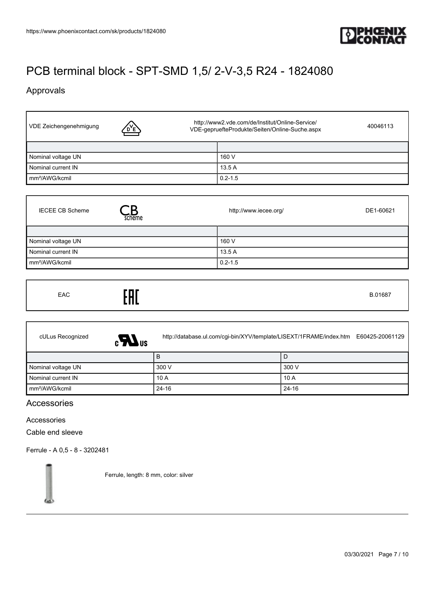

# Approvals

 $\mathbf{r}$ 

| VDE Zeichengenehmigung<br>D'E | http://www2.vde.com/de/Institut/Online-Service/<br>40046113<br>VDE-gepruefteProdukte/Seiten/Online-Suche.aspx |
|-------------------------------|---------------------------------------------------------------------------------------------------------------|
|                               |                                                                                                               |
| Nominal voltage UN            | 160 V                                                                                                         |
| Nominal current IN            | 13.5 A                                                                                                        |
| mm <sup>2</sup> /AWG/kcmil    | $0.2 - 1.5$                                                                                                   |

| <b>IECEE CB Scheme</b><br>scheme | http://www.iecee.org/ | DE1-60621 |
|----------------------------------|-----------------------|-----------|
|                                  |                       |           |
| Nominal voltage UN               | 160 V                 |           |
| Nominal current IN               | 13.5 A                |           |
| mm <sup>2</sup> /AWG/kcmil       | $0.2 - 1.5$           |           |

| cULus Recognized<br>$\epsilon$ $\bm{M}$ <sub>us</sub> |           | http://database.ul.com/cgi-bin/XYV/template/LISEXT/1FRAME/index.htm E60425-20061129 |
|-------------------------------------------------------|-----------|-------------------------------------------------------------------------------------|
|                                                       | B         | D                                                                                   |
| Nominal voltage UN                                    | 300 V     | 300 V                                                                               |
| Nominal current IN                                    | 10A       | 10A                                                                                 |
| mm <sup>2</sup> /AWG/kcmil                            | $24 - 16$ | $24 - 16$                                                                           |

# Accessories

### Accessories

Cable end sleeve

[Ferrule - A 0,5 - 8 - 3202481](https://www.phoenixcontact.com/sk/products/3202481)

Ferrule, length: 8 mm, color: silver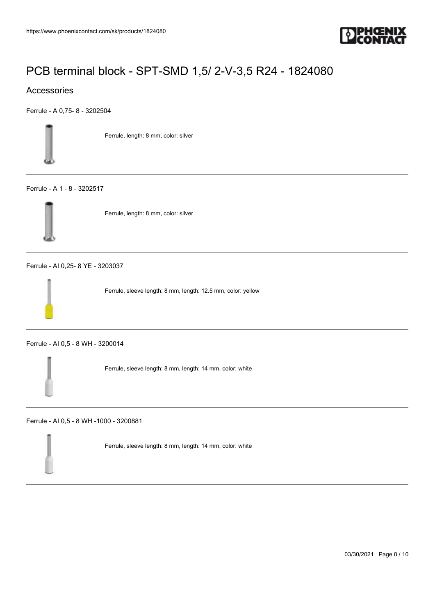

## Accessories

[Ferrule - A 0,75- 8 - 3202504](https://www.phoenixcontact.com/sk/products/3202504)



Ferrule, length: 8 mm, color: silver

#### [Ferrule - A 1 - 8 - 3202517](https://www.phoenixcontact.com/sk/products/3202517)



Ferrule, length: 8 mm, color: silver

[Ferrule - AI 0,25- 8 YE - 3203037](https://www.phoenixcontact.com/sk/products/3203037)

Ferrule, sleeve length: 8 mm, length: 12.5 mm, color: yellow

[Ferrule - AI 0,5 - 8 WH - 3200014](https://www.phoenixcontact.com/sk/products/3200014)

Ferrule, sleeve length: 8 mm, length: 14 mm, color: white

[Ferrule - AI 0,5 - 8 WH -1000 - 3200881](https://www.phoenixcontact.com/sk/products/3200881)



Ferrule, sleeve length: 8 mm, length: 14 mm, color: white

03/30/2021 Page 8 / 10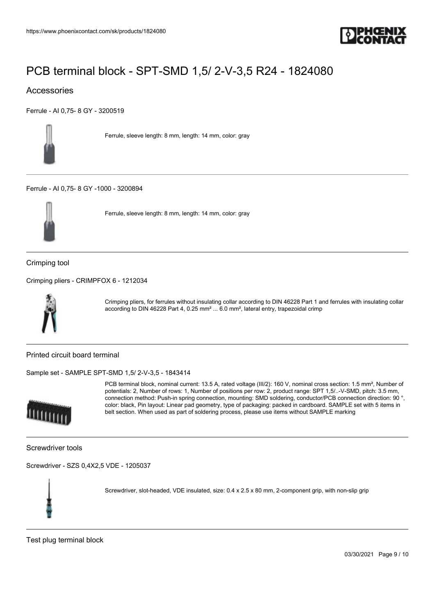

## Accessories

[Ferrule - AI 0,75- 8 GY - 3200519](https://www.phoenixcontact.com/sk/products/3200519)



Ferrule, sleeve length: 8 mm, length: 14 mm, color: gray

[Ferrule - AI 0,75- 8 GY -1000 - 3200894](https://www.phoenixcontact.com/sk/products/3200894)



Ferrule, sleeve length: 8 mm, length: 14 mm, color: gray

Crimping tool

[Crimping pliers - CRIMPFOX 6 - 1212034](https://www.phoenixcontact.com/sk/products/1212034)



Crimping pliers, for ferrules without insulating collar according to DIN 46228 Part 1 and ferrules with insulating collar according to DIN 46228 Part 4, 0.25 mm² ... 6.0 mm², lateral entry, trapezoidal crimp

Printed circuit board terminal

[Sample set - SAMPLE SPT-SMD 1,5/ 2-V-3,5 - 1843414](https://www.phoenixcontact.com/sk/products/1843414)



PCB terminal block, nominal current: 13.5 A, rated voltage (III/2): 160 V, nominal cross section: 1.5 mm<sup>2</sup>, Number of potentials: 2, Number of rows: 1, Number of positions per row: 2, product range: SPT 1,5/..-V-SMD, pitch: 3.5 mm, connection method: Push-in spring connection, mounting: SMD soldering, conductor/PCB connection direction: 90 °, color: black, Pin layout: Linear pad geometry, type of packaging: packed in cardboard. SAMPLE set with 5 items in belt section. When used as part of soldering process, please use items without SAMPLE marking

Screwdriver tools

[Screwdriver - SZS 0,4X2,5 VDE - 1205037](https://www.phoenixcontact.com/sk/products/1205037)



Screwdriver, slot-headed, VDE insulated, size: 0.4 x 2.5 x 80 mm, 2-component grip, with non-slip grip

Test plug terminal block